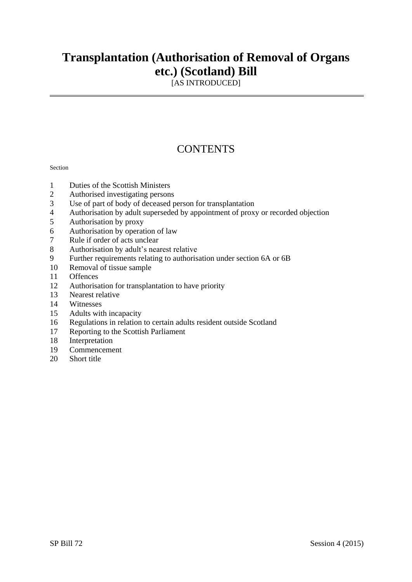## **Transplantation (Authorisation of Removal of Organs etc.) (Scotland) Bill**

[AS INTRODUCED]

## **CONTENTS**

#### Section

- Duties of the Scottish Ministers
- Authorised investigating persons
- Use of part of body of deceased person for transplantation
- Authorisation by adult superseded by appointment of proxy or recorded objection
- Authorisation by proxy
- Authorisation by operation of law
- Rule if order of acts unclear
- Authorisation by adult's nearest relative
- Further requirements relating to authorisation under section 6A or 6B
- Removal of tissue sample
- Offences
- Authorisation for transplantation to have priority
- Nearest relative
- Witnesses
- Adults with incapacity
- Regulations in relation to certain adults resident outside Scotland
- Reporting to the Scottish Parliament
- Interpretation
- Commencement
- Short title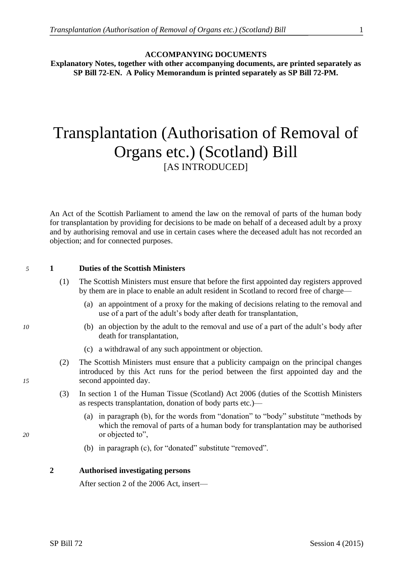#### **ACCOMPANYING DOCUMENTS**

**Explanatory Notes, together with other accompanying documents, are printed separately as SP Bill 72-EN. A Policy Memorandum is printed separately as SP Bill 72-PM.**

# Transplantation (Authorisation of Removal of Organs etc.) (Scotland) Bill [AS INTRODUCED]

An Act of the Scottish Parliament to amend the law on the removal of parts of the human body for transplantation by providing for decisions to be made on behalf of a deceased adult by a proxy and by authorising removal and use in certain cases where the deceased adult has not recorded an objection; and for connected purposes.

### *5* **1 Duties of the Scottish Ministers**

- (1) The Scottish Ministers must ensure that before the first appointed day registers approved by them are in place to enable an adult resident in Scotland to record free of charge—
	- (a) an appointment of a proxy for the making of decisions relating to the removal and use of a part of the adult's body after death for transplantation,
- *10* (b) an objection by the adult to the removal and use of a part of the adult's body after death for transplantation,
	- (c) a withdrawal of any such appointment or objection.
- (2) The Scottish Ministers must ensure that a publicity campaign on the principal changes introduced by this Act runs for the period between the first appointed day and the *15* second appointed day.
	- (3) In section 1 of the Human Tissue (Scotland) Act 2006 (duties of the Scottish Ministers as respects transplantation, donation of body parts etc.)––
- (a) in paragraph (b), for the words from "donation" to "body" substitute "methods by which the removal of parts of a human body for transplantation may be authorised 20 or objected to",
	- (b) in paragraph (c), for "donated" substitute "removed".

#### **2 Authorised investigating persons**

After section 2 of the 2006 Act, insert—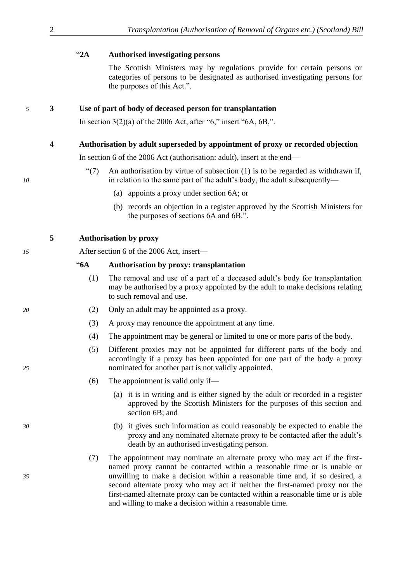### ―**2A Authorised investigating persons**

The Scottish Ministers may by regulations provide for certain persons or categories of persons to be designated as authorised investigating persons for the purposes of this Act.".

#### *5* **3 Use of part of body of deceased person for transplantation**

In section  $3(2)(a)$  of the 2006 Act, after "6," insert "6A, 6B,".

#### **4 Authorisation by adult superseded by appointment of proxy or recorded objection**

In section 6 of the 2006 Act (authorisation: adult), insert at the end—

- $\degree$ (7) An authorisation by virtue of subsection (1) is to be regarded as withdrawn if, *10* in relation to the same part of the adult's body, the adult subsequently—
	- (a) appoints a proxy under section 6A; or
	- (b) records an objection in a register approved by the Scottish Ministers for the purposes of sections 6A and 6B.".

### **5 Authorisation by proxy**

*15* After section 6 of the 2006 Act, insert—

#### ―**6A Authorisation by proxy: transplantation**

- (1) The removal and use of a part of a deceased adult's body for transplantation may be authorised by a proxy appointed by the adult to make decisions relating to such removal and use.
- *20* (2) Only an adult may be appointed as a proxy.
	- (3) A proxy may renounce the appointment at any time.
	- (4) The appointment may be general or limited to one or more parts of the body.
- (5) Different proxies may not be appointed for different parts of the body and accordingly if a proxy has been appointed for one part of the body a proxy *25* nominated for another part is not validly appointed.
	- (6) The appointment is valid only if—
		- (a) it is in writing and is either signed by the adult or recorded in a register approved by the Scottish Ministers for the purposes of this section and section 6B; and
- *30* (b) it gives such information as could reasonably be expected to enable the proxy and any nominated alternate proxy to be contacted after the adult's death by an authorised investigating person.
- (7) The appointment may nominate an alternate proxy who may act if the firstnamed proxy cannot be contacted within a reasonable time or is unable or *35* unwilling to make a decision within a reasonable time and, if so desired, a second alternate proxy who may act if neither the first-named proxy nor the first-named alternate proxy can be contacted within a reasonable time or is able and willing to make a decision within a reasonable time.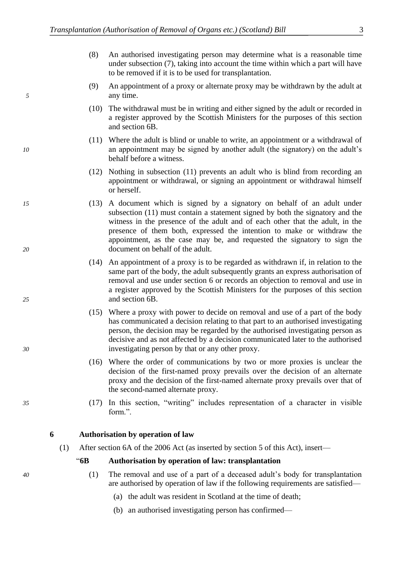- (8) An authorised investigating person may determine what is a reasonable time under subsection (7), taking into account the time within which a part will have to be removed if it is to be used for transplantation.
- (9) An appointment of a proxy or alternate proxy may be withdrawn by the adult at *5* any time.
	- (10) The withdrawal must be in writing and either signed by the adult or recorded in a register approved by the Scottish Ministers for the purposes of this section and section 6B.
- (11) Where the adult is blind or unable to write, an appointment or a withdrawal of *10* an appointment may be signed by another adult (the signatory) on the adult's behalf before a witness.
	- (12) Nothing in subsection (11) prevents an adult who is blind from recording an appointment or withdrawal, or signing an appointment or withdrawal himself or herself.
- *15* (13) A document which is signed by a signatory on behalf of an adult under subsection (11) must contain a statement signed by both the signatory and the witness in the presence of the adult and of each other that the adult, in the presence of them both, expressed the intention to make or withdraw the appointment, as the case may be, and requested the signatory to sign the *20* document on behalf of the adult.
- (14) An appointment of a proxy is to be regarded as withdrawn if, in relation to the same part of the body, the adult subsequently grants an express authorisation of removal and use under section 6 or records an objection to removal and use in a register approved by the Scottish Ministers for the purposes of this section *25* and section 6B.
- (15) Where a proxy with power to decide on removal and use of a part of the body has communicated a decision relating to that part to an authorised investigating person, the decision may be regarded by the authorised investigating person as decisive and as not affected by a decision communicated later to the authorised *30* investigating person by that or any other proxy.
	- (16) Where the order of communications by two or more proxies is unclear the decision of the first-named proxy prevails over the decision of an alternate proxy and the decision of the first-named alternate proxy prevails over that of the second-named alternate proxy.
- *35* (17) In this section, "writing" includes representation of a character in visible form.".

**6 Authorisation by operation of law**

(1) After section 6A of the 2006 Act (as inserted by section 5 of this Act), insert—

―**6B Authorisation by operation of law: transplantation**

- *40* (1) The removal and use of a part of a deceased adult's body for transplantation are authorised by operation of law if the following requirements are satisfied—
	- (a) the adult was resident in Scotland at the time of death;
	- (b) an authorised investigating person has confirmed—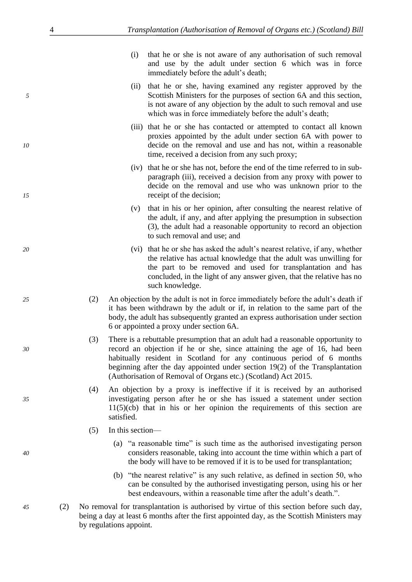- (i) that he or she is not aware of any authorisation of such removal and use by the adult under section 6 which was in force immediately before the adult's death;
- (ii) that he or she, having examined any register approved by the *5* Scottish Ministers for the purposes of section 6A and this section, is not aware of any objection by the adult to such removal and use which was in force immediately before the adult's death;
- (iii) that he or she has contacted or attempted to contact all known proxies appointed by the adult under section 6A with power to *10* decide on the removal and use and has not, within a reasonable time, received a decision from any such proxy;
- (iv) that he or she has not, before the end of the time referred to in subparagraph (iii), received a decision from any proxy with power to decide on the removal and use who was unknown prior to the *15* receipt of the decision;
	- (v) that in his or her opinion, after consulting the nearest relative of the adult, if any, and after applying the presumption in subsection (3), the adult had a reasonable opportunity to record an objection to such removal and use; and
- *20* (vi) that he or she has asked the adult's nearest relative, if any, whether the relative has actual knowledge that the adult was unwilling for the part to be removed and used for transplantation and has concluded, in the light of any answer given, that the relative has no such knowledge.
- *25* (2) An objection by the adult is not in force immediately before the adult's death if it has been withdrawn by the adult or if, in relation to the same part of the body, the adult has subsequently granted an express authorisation under section 6 or appointed a proxy under section 6A.
- (3) There is a rebuttable presumption that an adult had a reasonable opportunity to *30* record an objection if he or she, since attaining the age of 16, had been habitually resident in Scotland for any continuous period of 6 months beginning after the day appointed under section 19(2) of the Transplantation (Authorisation of Removal of Organs etc.) (Scotland) Act 2015.
- (4) An objection by a proxy is ineffective if it is received by an authorised *35* investigating person after he or she has issued a statement under section  $11(5)(cb)$  that in his or her opinion the requirements of this section are satisfied.
	- (5) In this section—
- (a)  $\degree$  a reasonable time" is such time as the authorised investigating person *40* considers reasonable, taking into account the time within which a part of the body will have to be removed if it is to be used for transplantation;
	- (b) "the nearest relative" is any such relative, as defined in section 50, who can be consulted by the authorised investigating person, using his or her best endeavours, within a reasonable time after the adult's death.".
- *45* (2) No removal for transplantation is authorised by virtue of this section before such day, being a day at least 6 months after the first appointed day, as the Scottish Ministers may by regulations appoint.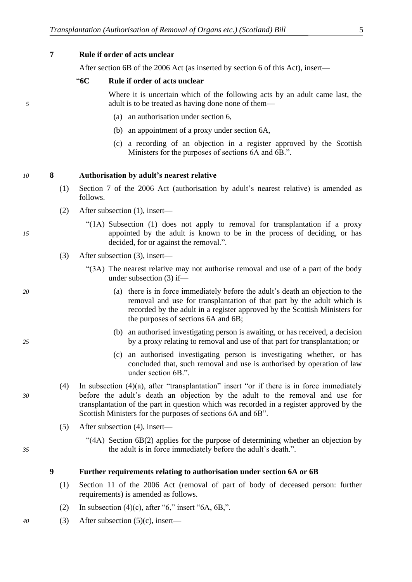**7 Rule if order of acts unclear**

After section 6B of the 2006 Act (as inserted by section 6 of this Act), insert—

#### ―**6C Rule if order of acts unclear**

Where it is uncertain which of the following acts by an adult came last, the *5* adult is to be treated as having done none of them—

- (a) an authorisation under section 6,
- (b) an appointment of a proxy under section 6A,
- (c) a recording of an objection in a register approved by the Scottish Ministers for the purposes of sections 6A and 6B.".

#### *10* **8 Authorisation by adult's nearest relative**

- (1) Section 7 of the 2006 Act (authorisation by adult's nearest relative) is amended as follows.
- (2) After subsection (1), insert—
- "( $1A$ ) Subsection  $(1)$  does not apply to removal for transplantation if a proxy *15* appointed by the adult is known to be in the process of deciding, or has decided, for or against the removal.".
	- (3) After subsection (3), insert—
		- ―(3A) The nearest relative may not authorise removal and use of a part of the body under subsection (3) if—
- *20* (a) there is in force immediately before the adult's death an objection to the removal and use for transplantation of that part by the adult which is recorded by the adult in a register approved by the Scottish Ministers for the purposes of sections 6A and 6B;
- (b) an authorised investigating person is awaiting, or has received, a decision *25* by a proxy relating to removal and use of that part for transplantation; or
	- (c) an authorised investigating person is investigating whether, or has concluded that, such removal and use is authorised by operation of law under section 6B.".
- (4) In subsection (4)(a), after "transplantation" insert "or if there is in force immediately *30* before the adult's death an objection by the adult to the removal and use for transplantation of the part in question which was recorded in a register approved by the Scottish Ministers for the purposes of sections 6A and 6B".
	- (5) After subsection (4), insert—
- ―(4A) Section 6B(2) applies for the purpose of determining whether an objection by *35* the adult is in force immediately before the adult's death.".

#### **9 Further requirements relating to authorisation under section 6A or 6B**

- (1) Section 11 of the 2006 Act (removal of part of body of deceased person: further requirements) is amended as follows.
- (2) In subsection (4)(c), after "6," insert "6A,  $6B$ ,".
- *40* (3) After subsection (5)(c), insert—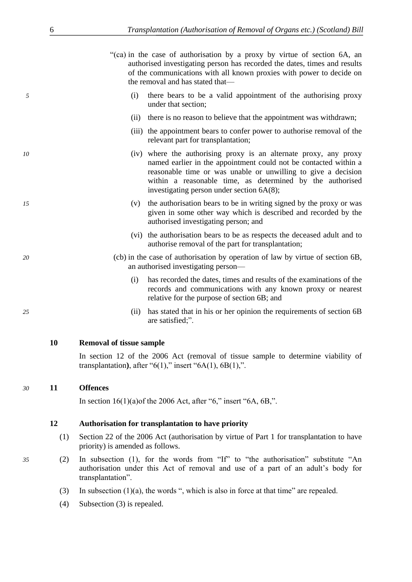―(ca) in the case of authorisation by a proxy by virtue of section 6A, an authorised investigating person has recorded the dates, times and results of the communications with all known proxies with power to decide on the removal and has stated that—

- *5* (i) there bears to be a valid appointment of the authorising proxy under that section;
	- (ii) there is no reason to believe that the appointment was withdrawn;
	- (iii) the appointment bears to confer power to authorise removal of the relevant part for transplantation;
- *10* (iv) where the authorising proxy is an alternate proxy, any proxy named earlier in the appointment could not be contacted within a reasonable time or was unable or unwilling to give a decision within a reasonable time, as determined by the authorised investigating person under section 6A(8);
- *15* (v) the authorisation bears to be in writing signed by the proxy or was given in some other way which is described and recorded by the authorised investigating person; and
	- (vi) the authorisation bears to be as respects the deceased adult and to authorise removal of the part for transplantation;
- *20* (cb) in the case of authorisation by operation of law by virtue of section 6B, an authorised investigating person—
	- (i) has recorded the dates, times and results of the examinations of the records and communications with any known proxy or nearest relative for the purpose of section 6B; and
- *25* (ii) has stated that in his or her opinion the requirements of section 6B are satisfied;".

#### **10 Removal of tissue sample**

In section 12 of the 2006 Act (removal of tissue sample to determine viability of transplantation), after " $6(1)$ ," insert " $6A(1)$ ,  $6B(1)$ ,".

#### *30* **11 Offences**

In section  $16(1)(a)$  of the 2006 Act, after "6," insert "6A, 6B,".

#### **12 Authorisation for transplantation to have priority**

- (1) Section 22 of the 2006 Act (authorisation by virtue of Part 1 for transplantation to have priority) is amended as follows.
- *35* (2) In subsection (1), for the words from "If" to "the authorisation" substitute "An authorisation under this Act of removal and use of a part of an adult's body for transplantation".
	- (3) In subsection  $(1)(a)$ , the words ", which is also in force at that time" are repealed.
	- (4) Subsection (3) is repealed.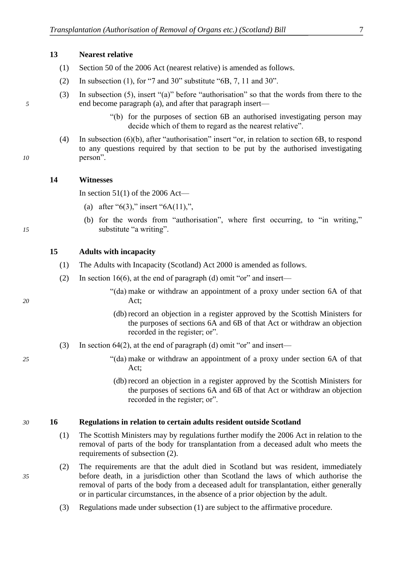#### **13 Nearest relative**

- (1) Section 50 of the 2006 Act (nearest relative) is amended as follows.
- (2) In subsection (1), for "7 and 30" substitute "6B, 7, 11 and 30".
- (3) In subsection (5), insert "(a)" before "authorisation" so that the words from there to the *5* end become paragraph (a), and after that paragraph insert—
	- ―(b) for the purposes of section 6B an authorised investigating person may decide which of them to regard as the nearest relative".
- (4) In subsection  $(6)(b)$ , after "authorisation" insert "or, in relation to section 6B, to respond to any questions required by that section to be put by the authorised investigating *10* person".

#### **14 Witnesses**

In section  $51(1)$  of the 2006 Act—

- (a) after "6(3)," insert "6A(11),",
- (b) for the words from "authorisation", where first occurring, to "in writing," *15* substitute "a writing".

#### **15 Adults with incapacity**

- (1) The Adults with Incapacity (Scotland) Act 2000 is amended as follows.
- (2) In section 16(6), at the end of paragraph (d) omit "or" and insert—
- ―(da) make or withdraw an appointment of a proxy under section 6A of that *20* Act;
	- (db) record an objection in a register approved by the Scottish Ministers for the purposes of sections 6A and 6B of that Act or withdraw an objection recorded in the register; or".
	- (3) In section 64(2), at the end of paragraph (d) omit "or" and insert—
- *25* ―(da) make or withdraw an appointment of a proxy under section 6A of that Act;
	- (db) record an objection in a register approved by the Scottish Ministers for the purposes of sections 6A and 6B of that Act or withdraw an objection recorded in the register; or".

#### *30* **16 Regulations in relation to certain adults resident outside Scotland**

- (1) The Scottish Ministers may by regulations further modify the 2006 Act in relation to the removal of parts of the body for transplantation from a deceased adult who meets the requirements of subsection (2).
- (2) The requirements are that the adult died in Scotland but was resident, immediately *35* before death, in a jurisdiction other than Scotland the laws of which authorise the removal of parts of the body from a deceased adult for transplantation, either generally or in particular circumstances, in the absence of a prior objection by the adult.
	- (3) Regulations made under subsection (1) are subject to the affirmative procedure.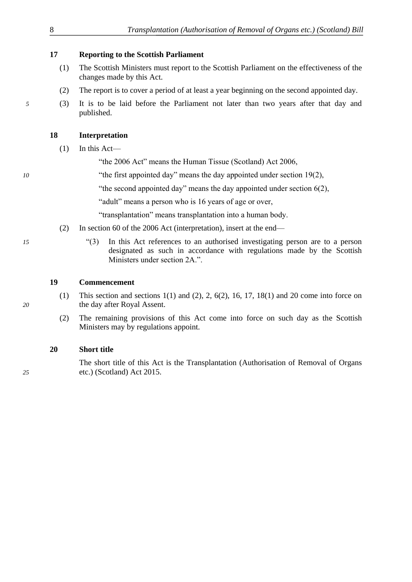#### **17 Reporting to the Scottish Parliament**

- (1) The Scottish Ministers must report to the Scottish Parliament on the effectiveness of the changes made by this Act.
- (2) The report is to cover a period of at least a year beginning on the second appointed day.
- *5* (3) It is to be laid before the Parliament not later than two years after that day and published.

#### **18 Interpretation**

- (1) In this Act—
	- "the 2006 Act" means the Human Tissue (Scotland) Act 2006,
- *10* "the first appointed day" means the day appointed under section 19(2),
	- "the second appointed day" means the day appointed under section  $6(2)$ ,

"adult" means a person who is 16 years of age or over,

"transplantation" means transplantation into a human body.

- (2) In section 60 of the 2006 Act (interpretation), insert at the end—
- *15* ―(3) In this Act references to an authorised investigating person are to a person designated as such in accordance with regulations made by the Scottish Ministers under section 2A.".

#### **19 Commencement**

- (1) This section and sections  $1(1)$  and  $(2)$ ,  $2$ ,  $6(2)$ ,  $16$ ,  $17$ ,  $18(1)$  and  $20$  come into force on *20* the day after Royal Assent.
	- (2) The remaining provisions of this Act come into force on such day as the Scottish Ministers may by regulations appoint.

#### **20 Short title**

The short title of this Act is the Transplantation (Authorisation of Removal of Organs *25* etc.) (Scotland) Act 2015.